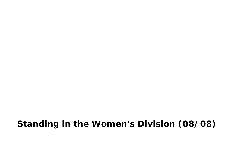# **Standing in the Women's Division (08/08)**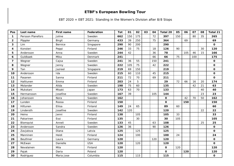| Pos                     | Last name                | <b>First name</b> | Federation | <b>Tot</b> | 01  | 02  | 03 | 04  | <b>Total 20</b> | 05  | 06  | 07  | 08 | Total 21     |
|-------------------------|--------------------------|-------------------|------------|------------|-----|-----|----|-----|-----------------|-----|-----|-----|----|--------------|
| $\mathbf{1}$            | <b>Persson Planefors</b> | Joline            | Sweden     | 662        | 150 | 175 |    | 72  | 397             | 150 |     | 80  | 35 | 265          |
| $\overline{2}$          | Pöppler                  | <b>Birgit</b>     | Germany    | 433        | 39  | 250 |    | 75  | 364             |     | 69  |     |    | 69           |
| 3                       | Lim                      | <b>Bernice</b>    | Singapore  | 290        | 90  | 200 |    |     | 290             |     |     |     |    | $\mathbf{o}$ |
| 4                       | Konsteri                 | Peppi             | Finland    | 246        | 33  | 75  |    | 18  | 126             | 90  |     |     | 30 | 120          |
| 5                       | Andersson                | Anna              | Sweden     | 244        | 42  |     |    | 36  | 78              |     | 105 | 46  | 15 | 166          |
| 6                       | Guldbaek                 | Mika              | Denmark    | 241        |     |     |    | 66  | 66              | 75  |     | 100 |    | 175          |
| $\overline{\mathbf{z}}$ | Wegner                   | Cajsa             | Sweden     | 241        | 36  | 55  |    | 150 | 241             |     |     |     |    | $\mathbf 0$  |
| 8                       | Wegner                   | Jenny             | Sweden     | 222        | 105 | 75  |    | 42  | 222             |     |     |     |    | $\mathbf 0$  |
| 9                       | Tan                      | Jazreel           | Singapore  | 219        | 69  | 150 |    |     | 219             |     |     |     |    | $\mathbf{o}$ |
| 10                      | Andersson                | Ida               | Sweden     | 215        | 60  | 110 |    | 45  | 215             |     |     |     |    | $\mathbf 0$  |
| 11                      | Pasanen                  | Sanna             | Finland    | 211        | 72  | 70  |    | 69  | 211             |     |     |     |    | $\mathbf{o}$ |
| 12                      | Halttunen                | Emma              | Finland    | 203        | 24  | 5   |    |     | 29              | 72  | 66  | 16  | 20 | 174          |
| 13                      | Molander                 | Alida             | Sweden     | 198        | 75  | 60  |    |     | 135             |     |     | 42  | 21 | 63           |
| 14                      | Mukotani                 | Misaki            | Japan      | 173        | 63  | 70  |    |     | 133             |     |     |     | 40 | 40           |
| 15                      | Hermansson               | Josefine          | Sweden     | 167        | 39  |     |    | 105 | 144             |     |     |     | 23 | 23           |
| 16                      | Johansson                | Nora              | Sweden     | 162        |     |     |    |     | $\mathbf 0$     |     | 42  | 70  | 50 | 162          |
| 17                      | Lunden                   | Roosa             | Finland    | 150        |     |     |    |     | $\mathbf 0$     |     | 150 |     |    | 150          |
| 18                      | Hiltunen                 | Eliisa            | Finland    | 149        | 24  | 65  |    |     | 89              | 60  |     |     |    | 60           |
| 19                      | Linderoth                | Josefine          | Sweden     | 142        | 120 |     |    |     | 120             |     |     |     | 22 | 22           |
| 20                      | Heino                    | Jenni             | Finland    | 138        |     | 105 |    |     | 105             | 33  |     |     |    | 33           |
| 21                      | Pakarinen                | Essi              | Finland    | 135        |     | 30  |    |     | 30              | 105 |     |     |    | 105          |
| 22                      | Blomqvist                | Anneli            | Sweden     | 133        | 45  |     |    | 63  | 108             |     |     |     | 25 | 25           |
| 23                      | Andersson                | Sandra            | Sweden     | 126        | 36  |     |    | 90  | 126             |     |     |     |    | $\mathbf 0$  |
| 24                      | Zavjalova                | Diana             | Latvia     | 125        |     | 125 |    |     | 125             |     |     |     |    | $\mathbf 0$  |
| 25                      | Manninen                 | Heidi             | Finland    | 124        |     | 100 |    |     | 100             | 24  |     |     |    | 24           |
| 26                      | Beuthner                 | Laura             | Germany    | 120        |     |     |    | 120 | 120             |     |     |     |    | $\mathbf 0$  |
| 27                      | McEwan                   | Danielle          | <b>USA</b> | 120        |     | 120 |    |     | 120             |     |     |     |    | $\mathbf 0$  |
| 28                      | Nevalainen               | Mila              | Finland    | 120        |     |     |    |     | 0               | 120 |     |     |    | 120          |
| 29                      | Pajak                    | Daria             | Poland     | 120        |     |     |    |     | 0               |     | 120 |     |    | 120          |
| 30                      | Rodriguez                | Maria Jose        | Columbia   | 115        |     | 115 |    |     | 115             |     |     |     |    | $\mathbf{o}$ |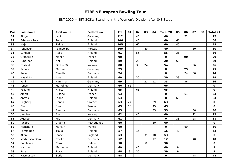| Pos | Last name     | First name | Federation  | <b>Tot</b> | 01 | 02 | 03 | 04 | Total 20     | 05 | 06 | 07 | 08 | Total 21     |
|-----|---------------|------------|-------------|------------|----|----|----|----|--------------|----|----|----|----|--------------|
| 31  | Ribguth       | Janin      | Germany     | 112        |    | 40 |    |    | 40           |    | 72 |    |    | 72           |
| 32  | Eriksson-Sola | Petra      | Finland     | 106        |    | 40 |    |    | 40           | 66 |    |    |    | 66           |
| 33  | Maja          | Piritta    | Finland     | 105        |    | 60 |    |    | 60           | 45 |    |    |    | 45           |
| 34  | Johansen      | Jeanett H. | Norway      | 100        |    |    | 40 |    | 40           |    |    | 60 |    | 60           |
| 35  | Lunden        | Reija      | Finland     | 91         |    | 55 |    |    | 55           | 36 |    |    |    | 36           |
| 36  | Grandsire     | Manon      | France      | 90         |    |    |    |    | $\mathbf 0$  |    | 90 |    |    | 90           |
| 37  | Juntunen      | Ani        | Finland     | 89         |    | 20 |    |    | 20           | 69 |    |    |    | 69           |
| 38  | Fosseide      | Grethe W   | Norway      | 80         |    | 30 | 24 |    | 54           |    |    | 26 |    | 26           |
| 39  | Schütz        | Martina    | Germany     | 75         |    |    |    |    | $\mathbf{o}$ |    | 75 |    |    | 75           |
| 40  | Keller        | Camille    | Denmark     | 74         |    |    |    |    | $\mathbf{o}$ |    | 24 | 50 |    | 74           |
| 41  | Haavisto      | Nina       | Finland     | 69         |    | 30 |    |    | 30           | 39 |    |    |    | 39           |
| 42  | Pohl          | Kanittha   | Germany     | 69         |    |    | 21 | 12 | 33           |    | 36 |    |    | 36           |
| 43  | Jensen        | Mai Ginge  | Denmark     | 66         | 66 |    |    |    | 66           |    |    |    |    | $\mathbf 0$  |
| 44  | Pollanen      | Krista     | Finland     | 65         |    | 65 |    |    | 65           |    |    |    |    | $\mathbf 0$  |
| 45  | Albert        | Justine    | France      | 63         |    |    |    |    | $\mathbf{o}$ |    | 63 |    |    | 63           |
| 46  | Anttas        | Jaana      | Finland     | 63         |    |    |    |    | $\mathbf{o}$ | 63 |    |    |    | 63           |
| 47  | Engberg       | Hanna      | Sweden      | 63         | 24 |    |    | 39 | 63           |    |    |    |    | $\mathbf{o}$ |
| 48  | Flack         | Nina       | Sweden      | 63         | 18 |    |    | 45 | 63           |    |    |    |    | $\mathbf 0$  |
| 49  | Wedel         | Sascha     | Denmark     | 63         |    |    |    | 33 | 33           |    |    | 30 |    | 30           |
| 50  | Jacobsen      | Ase        | Norway      | 62         |    | 40 |    |    | 40           |    |    | 22 |    | 22           |
| 51  | Agerbo        | Mie        | Denmark     | 61         |    |    |    |    | 0            | 33 |    | 28 |    | 61           |
| 52  | Jacobs        | Chantal    | Netherlands | 60         |    |    |    | 60 | 60           |    |    |    |    | $\mathbf 0$  |
| 53  | Planchard     | Marilyn    | France      | 60         |    |    |    |    | $\mathbf 0$  |    | 60 |    |    | 60           |
| 54  | Tamminen      | Tuula      | Finland     | 57         |    | 15 |    |    | 15           | 42 |    |    |    | 42           |
| 55  | Allen         | Isabel     | England     | 53         |    |    | 35 | 18 | 53           |    |    |    |    | $\mathbf 0$  |
| 56  | Mortensen Dam | Cecilie    | Denmark     | 52         |    |    |    | 12 | 12           |    |    | 40 |    | 40           |
| 57  | Catchpole     | Carol      | Ireland     | 50         |    |    | 50 |    | 50           |    |    |    |    | $\mathbf 0$  |
| 58  | Hytonen       | Marjaana   | Finland     | 49         |    | 40 |    |    | 40           | 9  |    |    |    | 9            |
| 59  | Pusa          | Rosa       | Finland     | 48         | 9  | 30 |    |    | 39           | 9  |    |    |    | 9            |
| 60  | Rasmussen     | Sofie      | Denmark     | 48         |    |    |    |    | $\mathbf 0$  |    |    | 48 |    | 48           |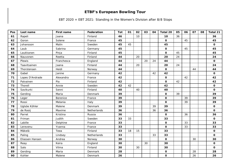| Pos | Last name       | First name | Federation  | <b>Tot</b> | 01 | 02 | 03 | 04 | <b>Total 20</b> | 05 | 06 | 07 | 08 | Total 21     |
|-----|-----------------|------------|-------------|------------|----|----|----|----|-----------------|----|----|----|----|--------------|
| 61  | Rapeli          | Jaana      | Finland     | 46         |    | 10 |    |    | 10              | 36 |    |    |    | 36           |
| 62  | Goron           | Solene     | France      | 45         |    |    |    |    | 0               |    | 45 |    |    | 45           |
| 63  | Johansson       | Malin      | Sweden      | 45         | 45 |    |    |    | 45              |    |    |    |    | $\mathbf 0$  |
| 64  | Laub            | Sabrina    | Germany     | 45         |    |    |    |    | $\mathbf 0$     |    | 45 |    |    | 45           |
| 65  | Laukkanen       | Pinja      | Finland     | 45         |    |    |    |    | $\mathbf{o}$    | 45 |    |    |    | 45           |
| 66  | Nauvonen        | Reetta     | Finland     | 44         |    | 20 |    |    | 20              | 24 |    |    |    | 24           |
| 67  | Plewis          | Franchesca | England     | 44         |    |    | 20 | 24 | 44              |    |    |    |    | $\mathbf 0$  |
| 68  | Taavitsainen    | Jaana      | Finland     | 44         |    | 20 |    |    | 20              | 24 |    |    |    | 24           |
| 69  | Thorstensen     | Heidi      | Norway      | 44         |    |    |    |    | $\mathbf 0$     |    |    | 44 |    | 44           |
| 70  | Gabel           | Janine     | Germany     | 42         |    |    |    | 42 | 42              |    |    |    |    | $\mathbf 0$  |
| 71  | Lopes D'Andrade | Alexandra  | France      | 42         |    |    |    |    | $\mathbf 0$     |    | 42 |    |    | 42           |
| 72  | Palvainen       | Pia        | Finland     | 42         |    |    |    |    | $\mathbf 0$     | 42 |    |    |    | 42           |
| 73  | Thorell         | Annie      | Sweden      | 42         | 42 |    |    |    | 42              |    |    |    |    | $\mathbf 0$  |
| 74  | Savikurki       | Senni      | Finland     | 40         |    | 40 |    |    | 40              |    |    |    |    | $\mathbf 0$  |
| 75  | Gerding         | Maria      | Denmark     | 39         |    |    |    |    | $\mathbf{o}$    | 39 |    |    |    | 39           |
| 76  | Leger           | Berenice   | France      | 39         |    |    |    |    | 0               |    | 39 |    |    | 39           |
| 77  | Rossi           | Melania    | Italy       | 39         |    |    |    |    | $\mathbf{o}$    |    | 39 |    |    | 39           |
| 78  | Uglsöe Köhler   | Malene     | Denmark     | 39         |    |    |    | 39 | 39              |    |    |    |    | $\mathbf 0$  |
| 79  | de Rooij        | Maxime     | Netherlands | 36         |    |    |    | 36 | 36              |    |    |    |    | $\mathbf 0$  |
| 80  | Parret          | Kristina   | Russia      | 36         |    |    |    |    | $\mathbf{o}$    |    | 36 |    |    | 36           |
| 81  | Friman          | Judith     | Sweden      | 33         | 33 |    |    |    | 33              |    |    |    |    | $\mathbf 0$  |
| 82  | Labille         | Delphine   | France      | 33         |    |    |    |    | $\mathbf{o}$    |    | 33 |    |    | 33           |
| 83  | Lerevenu        | Yvanna     | France      | 33         |    |    |    |    | $\mathbf{o}$    |    | 33 |    |    | 33           |
| 84  | Mäkelä          | Teea       | Finland     | 33         | 18 | 15 |    |    | 33              |    |    |    |    | $\mathbf 0$  |
| 85  | Paling          | Lindsey    | Netherlands | 33         |    |    |    | 33 | 33              |    |    |    |    | $\mathbf 0$  |
| 86  | Eliassen Hansen | Andrea     | Norway      | 30         |    |    |    |    | $\mathbf{o}$    |    |    | 30 |    | 30           |
| 87  | Reay            | Keira      | England     | 30         |    |    | 30 |    | 30              |    |    |    |    | $\mathbf{o}$ |
| 88  | Salo            | Vilma      | Finland     | 30         |    | 30 |    |    | 30              |    |    |    |    | $\mathbf 0$  |
| 89  | Gerding         | Maria      | Denmark     | 28         |    |    |    |    | $\mathbf 0$     |    |    | 28 |    | 28           |
| 90  | Kohler          | Malene     | Denmark     | 26         |    |    |    |    | $\mathbf 0$     |    |    | 26 |    | 26           |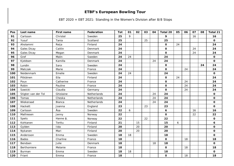| Pos | Last name           | First name | Federation  | <b>Tot</b> | 01 | 02 | 03 | 04 | <b>Total 20</b>  | 05 | 06 | 07 | 08 | Total 21     |
|-----|---------------------|------------|-------------|------------|----|----|----|----|------------------|----|----|----|----|--------------|
| 91  | Carlsson            | Christel   | Sweden      | 25         | 9  |    |    |    | 9                |    |    | 16 |    | 16           |
| 92  | Yusuf               | Tania      | Scotland    | 25         |    |    | 25 |    | 25               |    |    |    |    | $\mathbf 0$  |
| 93  | Aholammi            | Reija      | Finland     | 24         |    |    |    |    | $\mathbf{o}$     | 24 |    |    |    | 24           |
| 94  | Gales Dicay         | Caitlin    | Denmark     | 24         |    |    |    |    | $\mathbf 0$      |    |    | 24 |    | 24           |
| 95  | <b>Gales Dicay</b>  | Megan      | Denmark     | 24         |    |    |    |    | $\mathbf{o}$     |    |    | 24 |    | 24           |
| 96  | Gref                | Malin      | Sweden      | 24         | 24 |    |    |    | 24               |    |    |    |    | $\mathbf 0$  |
| 97  | Kjeldsen            | Kamilla    | Denmark     | 24         |    |    |    | 24 | 24               |    |    |    |    | $\mathbf{o}$ |
| 98  | Lundin              | Sara       | Sweden      | 24         |    |    |    |    | $\mathbf{o}$     |    |    |    | 24 | 24           |
| 99  | Matczak             | Marie      | France      | 24         |    |    |    |    | $\mathbf{o}$     |    | 24 |    |    | 24           |
| 100 | Neidenmark          | Emelie     | Sweden      | 24         | 24 |    |    |    | 24               |    |    |    |    | $\mathbf 0$  |
| 101 | Pitkäinen           | Eila       | Finland     | 24         |    |    |    |    | $\mathbf 0$      | 24 |    |    |    | 24           |
| 102 | Poux                | Catherine  | France      | 24         |    |    |    |    | $\mathbf 0$      |    | 24 |    |    | 24           |
| 103 | Robin               | Pauline    | France      | 24         |    |    |    |    | $\mathbf{o}$     |    | 24 |    |    | 24           |
| 104 | Sawicki             | Claudia    | Germany     | 24         |    |    |    |    | $\mathbf{o}$     |    | 24 |    |    | 24           |
| 105 | Stigter-van der Tol | Ghislaine  | Netherlands | 24         |    |    |    | 24 | 24               |    |    |    |    | $\mathbf 0$  |
| 106 | Tomas               | Cheska     | Netherlands | 24         |    |    |    | 24 | 24               |    |    |    |    | $\mathbf 0$  |
| 107 | Wiekeraad           | Bianca     | Netherlands | 24         |    |    |    | 24 | 24               |    |    |    |    | $\mathbf 0$  |
| 108 | Hackett             | Joanna     | England     | 23         |    |    | 23 |    | 23               |    |    |    |    | $\mathbf 0$  |
| 109 | Carlsson            | Åsa        | Sweden      | 22         | 6  |    |    |    | $\boldsymbol{6}$ |    |    | 16 |    | 16           |
| 110 | Mathiesen           | Jenny      | Norway      | 22         |    |    |    |    | $\mathbf{o}$     |    |    | 22 |    | 22           |
| 111 | Spets               | Hanne B.   | Norway      | 22         |    |    | 22 |    | 22               |    |    |    |    | $\mathbf 0$  |
| 112 | Kohtanen            | Terttu     | Finland     | 21         |    | 15 |    |    | 15               | 6  |    |    |    | 6            |
| 113 | Gylden              | lida       | Finland     | 20         |    | 20 |    |    | 20               |    |    |    |    | $\mathbf 0$  |
| 114 | Nykanen             | Mari       | Finland     | 20         |    | 20 |    |    | 20               |    |    |    |    | $\mathbf{o}$ |
| 115 | Andersson           | Emma       | Sweden      | 18         | 18 |    |    |    | 18               |    |    |    |    | $\mathbf 0$  |
| 116 | <b>Bados</b>        | Charline   | France      | 18         |    |    |    |    | 0                |    | 18 |    |    | 18           |
| 117 | Bendsen             | Julie      | Denmark     | 18         |    |    |    | 18 | 18               |    |    |    |    | $\mathbf 0$  |
| 118 | Berthomiere         | Melanie    | France      | 18         |    |    |    |    | 0                |    | 18 |    |    | 18           |
| 119 | Burman              | Emma       | Sweden      | 18         | 18 |    |    |    | 18               |    |    |    |    | $\mathbf{o}$ |
| 120 | Friant              | Emma       | France      | 18         |    |    |    |    | $\mathbf 0$      |    | 18 |    |    | 18           |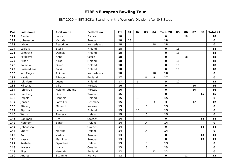| Pos | Last name   | First name     | Federation  | <b>Tot</b> | 01 | 02 | 03 | 04 | <b>Total 20</b> | 05 | 06 | 07 | 08 | <b>Total 21</b> |
|-----|-------------|----------------|-------------|------------|----|----|----|----|-----------------|----|----|----|----|-----------------|
| 121 | Garcia      | Laura          | France      | 18         |    |    |    |    | $\mathbf{o}$    |    | 18 |    |    | 18              |
| 122 | Johansson   | Victoria       | Sweden      | 18         | 18 |    |    |    | 18              |    |    |    |    | $\mathbf{o}$    |
| 123 | Kriele      | Beaudine       | Netherlands | 18         |    |    |    | 18 | 18              |    |    |    |    | $\mathbf 0$     |
| 124 | Lökfors     | Stella         | Finland     | 18         |    |    |    |    | $\mathbf 0$     | 18 |    |    |    | 18              |
| 125 | Lönnroth    | Daniela        | Finland     | 18         |    |    |    |    | $\mathbf 0$     | 18 |    |    |    | 18              |
| 126 | Petáková    | Anna           | Czech       | 18         |    |    |    |    | $\mathbf 0$     |    | 18 |    |    | 18              |
| 127 | Piipari     | Kirsti         | Finland     | 18         |    |    |    |    | $\mathbf 0$     | 18 |    |    |    | 18              |
| 128 | Salmela     | Diana          | Finland     | 18         |    |    |    |    | $\mathbf 0$     | 18 |    |    |    | 18              |
| 129 | Uusinarkaus | Paivi          | Finland     | 18         |    |    |    |    | $\mathbf 0$     | 18 |    |    |    | 18              |
| 130 | van Ewijck  | Anique         | Netherlands | 18         |    |    |    | 18 | 18              |    |    |    |    | $\mathbf{o}$    |
| 131 | Harris      | Elizabeth      | England     | 17         |    |    | 8  | 9  | 17              |    |    |    |    | $\mathbf{o}$    |
| 132 | Jokiniemi   | Leena          | Finland     | 17         |    | 5  |    |    | 5               | 12 |    |    |    | 12              |
| 133 | Hillestad   | Ville          | Norway      | 16         |    |    |    |    | $\mathbf 0$     |    |    | 16 |    | 16              |
| 134 | Johnsrud    | Helene Johanne | Norway      | 16         |    |    |    |    | $\mathbf 0$     |    |    | 16 |    | 16              |
| 135 | Hamberg     | Lina           | Sweden      | 15         |    |    |    |    | $\mathbf 0$     |    |    |    | 15 | 15              |
| 136 | Impola      | Hannele        | Finland     | 15         |    | 15 |    |    | 15              |    |    |    |    | $\mathbf 0$     |
| 137 | Jensen      | Lotte Liv      | Denmark     | 15         |    |    |    | 3  | $\mathbf{3}$    |    |    | 12 |    | 12              |
| 138 | Stivang     | Miriam L       | Norway      | 15         |    |    | 15 |    | 15              |    |    |    |    | $\mathbf{o}$    |
| 139 | Styrman     | Jenni          | Finland     | 15         |    | 15 |    |    | 15              |    |    |    |    | $\mathbf O$     |
| 140 | Watts       | Theresa        | Ireland     | 15         |    |    | 15 |    | 15              |    |    |    |    | $\mathbf{o}$    |
| 141 | Dahlman     | Siv            | Sweden      | 14         |    |    |    |    | $\mathbf 0$     |    |    |    | 14 | 14              |
| 142 | Flannery    | Sarah          | Ireland     | 14         |    |    | 14 |    | 14              |    |    |    |    | $\mathbf 0$     |
| 143 | Johansson   | Ina            | Sweden      | 14         |    |    |    |    | $\mathbf 0$     |    |    |    | 14 | 14              |
| 144 | Shortt      | Martina        | Ireland     | 14         |    |    | 14 |    | 14              |    |    |    |    | $\mathbf 0$     |
| 145 | Borg        | Karina         | Sweden      | 13         |    |    |    |    | $\mathbf{o}$    |    |    |    | 13 | 13              |
| 146 | Hassa       | Mathilda       | Sweden      | 13         |    |    |    |    | $\mathbf 0$     |    |    |    | 13 | 13              |
| 147 | Kestelle    | Dymphna        | Ireland     | 13         |    |    | 13 |    | 13              |    |    |    |    | $\mathbf 0$     |
| 148 | Krajacic    | Ivana          | Croatia     | 13         |    |    | 13 |    | 13              |    |    |    |    | $\mathbf 0$     |
| 149 | Ailes       | Hannah         | England     | 12         |    |    |    | 12 | 12              |    |    |    |    | $\mathbf 0$     |
| 150 | Andres      | Suzanne        | France      | 12         |    |    |    |    | $\mathbf 0$     |    | 12 |    |    | 12              |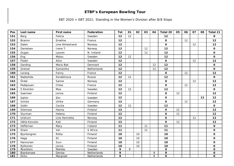| Pos | Last name     | First name      | Federation  | <b>Tot</b> | 01           | 02 | 03 | 04 | <b>Total 20</b> | 05 | 06 | 07 | 08   | Total 21     |
|-----|---------------|-----------------|-------------|------------|--------------|----|----|----|-----------------|----|----|----|------|--------------|
| 151 | Berg          | Felicia         | Sweden      | 12         | 12           |    |    |    | 12              |    |    |    |      | $\mathbf{o}$ |
| 152 | <b>Bramm</b>  | Emeline         | France      | 12         |              |    |    |    | $\mathbf 0$     |    | 12 |    |      | $12$         |
| 153 | Dalen         | Line Almestrand | Norway      | 12         |              |    |    |    | $\mathbf{o}$    |    |    | 12 |      | 12           |
| 154 | Danielsen     | Irene T:        | Norway      | 12         |              |    | 12 |    | 12              |    |    |    |      | $\mathbf 0$  |
| 155 | Dugan         | Lauren          | N. Ireland  | 12         |              |    | 12 |    | 12              |    |    |    |      | $\mathbf 0$  |
| 156 | Eng           | Malou           | Sweden      | 12         | 12           |    |    |    | 12              |    |    |    |      | $\mathbf 0$  |
| 157 | Flodin        | Alice           | Sweden      | 12         |              |    |    |    | $\mathbf 0$     |    |    | 12 |      | 12           |
| 158 | Gerding       | Maria Bak       | Denmark     | 12         |              |    |    | 12 | 12              |    |    |    |      | $\mathbf{o}$ |
| 159 | Greiner       | Samantha        | Netherlands | 12         |              |    |    | 12 | 12              |    |    |    |      | $\mathbf 0$  |
| 160 | Lorang        | Fanny           | France      | 12         |              |    |    |    | $\mathbf 0$     |    | 12 |    |      | 12           |
| 161 | Nadezhda      | Korablinova     | Russia      | 12         | 12           |    |    |    | 12              |    |    |    |      | $\mathbf{o}$ |
| 162 | Ördal         | Sanne           | Norway      | 12         |              |    |    |    | $\mathbf{o}$    |    |    | 12 |      | 12           |
| 163 | Pedejouan     | Chloe           | France      | 12         |              |    |    |    | $\mathbf 0$     |    | 12 |    |      | 12           |
| 164 | S Ekström     | Moa             | Sweden      | 12         | 12           |    |    |    | 12              |    |    |    |      | $\mathbf{o}$ |
| 165 | Saarinen      | Jonna           | Finland     | 12         |              |    |    |    | $\mathbf 0$     | 12 |    |    |      | 12           |
| 166 | Sahlin        | Elin            | Sweden      | 12         |              |    |    |    | 0               |    |    |    | $12$ | 12           |
| 167 | Schütz        | Ulrike          | Germany     | 12         |              |    |    |    | 0               |    | 12 |    |      | 12           |
| 168 | Solén         | Cecilia         | Sweden      | 12         | 12           |    |    |    | 12              |    |    |    |      | $\mathbf{o}$ |
| 169 | Stenroos      | Hanna           | Finland     | 12         |              |    |    |    | $\mathbf{o}$    | 12 |    |    |      | 12           |
| 170 | Styrman       | Helena          | Finland     | 12         |              |    |    |    | 0               | 12 |    |    |      | 12           |
| 171 | Undrum        | Line Henrietta  | Norway      | 12         |              |    |    |    | 0               |    |    | 12 |      | 12           |
| 172 | Vähä-Koivisto | Kati            | Finland     | 12         |              |    |    |    | $\mathbf{O}$    | 12 |    |    |      | 12           |
| 173 | Heffernan     | Mary            | Ireland     | 11         |              |    | 11 |    | $11$            |    |    |    |      | $\mathbf{o}$ |
| 174 | Sham          | Val             | S Africa    | 11         |              |    | 11 |    | 11              |    |    |    |      | $\mathbf{o}$ |
| 175 | Bjorkengren   | Riitta          | Finland     | 10         |              | 10 |    |    | 10              |    |    |    |      | $\mathbf 0$  |
| 176 | Haga          | Eli             | Finland     | 10         |              | 10 |    |    | 10              |    |    |    |      | $\mathbf 0$  |
| 177 | Hannunen      | Suvi            | Finland     | 10         |              | 10 |    |    | 10              |    |    |    |      | $\mathbf{o}$ |
| 178 | Rytkonen      | Jenna           | Finland     | 10         |              | 10 |    |    | 10              |    |    |    |      | $\mathbf 0$  |
| 179 | Åkerblom      | Matilda         | Sweden      | 9          | $\mathsf{Q}$ |    |    |    | 9               |    |    |    |      | $\mathbf 0$  |
| 180 | Blankenzee    | Denise          | Netherlands | 9          |              |    |    | 9  | 9               |    |    |    |      | $\mathbf 0$  |
| 181 | Dirks         | Margreet        | Netherlands | 9          |              |    |    | 9  | 9               |    |    |    |      | $\mathbf{o}$ |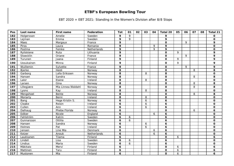| Pos | Last name     | First name         | Federation  | <b>Tot</b> | 01 | 02 | 03 | 04 | Total 20     | 05 | 06 | 07 | 08 | Total 21         |
|-----|---------------|--------------------|-------------|------------|----|----|----|----|--------------|----|----|----|----|------------------|
| 182 | Holgersson    | Amelie             | Sweden      | 9          | 9  |    |    |    | 9            |    |    |    |    | 0                |
| 183 | Lejman        | Emma               | Sweden      | 9          | 9  |    |    |    | 9            |    |    |    |    | 0                |
| 184 | Maes          | Margaux            | France      | 9          |    |    |    |    | $\mathbf{o}$ |    | 9  |    |    | 9                |
| 185 | Piros         | Laura              | Romania     | 9          |    |    |    | 9  | 9            |    |    |    |    | $\mathbf{o}$     |
| 186 | Postma        | Femke              | Netherlands | 9          |    |    |    | 9  | 9            |    |    |    |    | $\mathbf{o}$     |
| 187 | Ryliskiene    | Ruta               | Lithuania   | 9          |    |    |    |    | $\mathbf{o}$ | 9  |    |    |    | 9                |
| 188 | Stoecklin     | Oriane             | France      | 9          |    |    |    |    | O            |    | 9  |    |    | 9                |
| 189 | Turunen       | Jaana              | Finland     | 9          |    |    |    |    | 0            | 9  |    |    |    | 9                |
| 190 | Uosukainen    | Minna              | Finland     | 9          |    |    |    |    | 0            | 9  |    |    |    | 9                |
| 191 | Wuillemin     | Sylvette           | France      | 9          |    |    |    |    | $\mathbf 0$  |    | 9  |    |    | 9                |
| 192 | <b>Bjerke</b> | Heidi              | Norway      | 8          |    |    |    |    | $\mathbf 0$  |    |    | 8  |    | 8                |
| 193 | Garborg       | Lalla Erikssen     | Norway      | 8          |    |    | 8  |    | 8            |    |    |    |    | $\mathbf{o}$     |
| 194 | Hansen        | Sandra             | Norway      | 8          |    |    |    |    | $\mathbf{o}$ |    |    | 8  |    | 8                |
| 195 | Lalor         | Elaine             | Ireland     | 8          |    |    | 8  |    | 8            |    |    |    |    | $\mathbf{o}$     |
| 196 | Larsen        | Gina               | Norway      | 8          |    |    |    |    | $\mathbf{o}$ |    |    | 8  |    | 8                |
| 197 | Lillegjære    | Mia Linnea Waldahl | Norway      | 8          |    |    |    |    | $\mathbf 0$  |    |    | 8  |    | 8                |
| 198 | Lyons         | Kay                | Ireland     | 8          |    |    | 8  |    | 8            |    |    |    |    | $\mathbf{o}$     |
| 199 | Mengshoel     | Bente              | Norway      | 8          |    |    |    |    | $\mathbf 0$  |    |    | 8  |    | 8                |
| 200 | Moriarty      | Berni              | Ireland     | 8          |    |    | 8  |    | 8            |    |    |    |    | $\mathbf{o}$     |
| 201 | Bang          | Hege Kristin S.    | Norway      | 6          |    |    | 6  |    | 6            |    |    |    |    | $\mathbf{o}$     |
| 202 | Cloake        | Roisin             | Ireland     | 6          |    |    | 6  |    | 6            |    |    |    |    | $\mathbf{o}$     |
| 203 | Cullen        | Ann                | Ireland     | 6          |    |    | 6  |    | 6            |    |    |    |    | $\mathbf 0$      |
| 204 | Dalhaug       | Phebe Florida      | Norway      | 6          |    |    |    |    | $\mathbf 0$  |    |    | 6  |    | 6                |
| 205 | Ediker        | Nicole             | England     | 6          |    |    |    | 6  | 6            |    |    |    |    | $\mathbf 0$      |
| 206 | Fahlström     | Katrin             | Sweden      | 6          | 6  |    |    |    | 6            |    |    |    |    | $\mathbf{o}$     |
| 207 | Gunnarsson    | Ottilia            | Sweden      | 6          | 6  |    |    |    | 6            |    |    |    |    | $\mathbf{o}$     |
| 208 | Hansen        | Sandra             | Norway      | 6          |    |    | 6  |    | 6            |    |    |    |    | $\mathbf{o}$     |
| 209 | Holmes        | Pat                | Ireland     | 6          |    |    | 6  |    | 6            |    |    |    |    | $\mathbf{o}$     |
| 210 | Jensen        | Line Mia           | Denmark     | 6          |    |    |    | 6  | 6            |    |    |    |    | $\mathbf{o}$     |
| 211 | Keizer        | Anouk              | Netherlands | 6          |    |    |    | 6  | 6            |    |    |    |    | $\mathbf{o}$     |
| 212 | Laukkanen     | Tiiama             | Finland     | 6          |    |    |    |    | $\mathbf 0$  | 6  |    |    |    | 6                |
| 213 | Lindell       | Lisa               | Sweden      | 6          | 6  |    |    |    | 6            |    |    |    |    | 0                |
| 214 | Lindius       | Maria              | Sweden      | 6          | 6  |    |    |    | 6            |    |    |    |    | $\mathbf{o}$     |
| 215 | Mäkitalo      | Mervi              | Finland     | 6          |    |    |    |    | $\mathbf 0$  | 6  |    |    |    | 6                |
| 216 | Mattinen      | Taru               | Finland     | 6          |    |    |    |    | O            | 6  |    |    |    | $\boldsymbol{6}$ |
| 217 | Mustonen      | Mia                | Finland     | 6          |    |    |    |    | $\mathbf{o}$ | 6  |    |    |    | $\mathbf 6$      |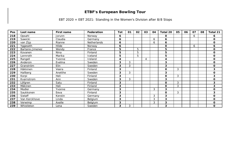| Pos | Last name        | First name  | Federation  | Tot | 01 | 02 | 03 | 04 | <b>Total 20</b> | 05 | 06 | 07 | 08 | <b>Total 21</b> |
|-----|------------------|-------------|-------------|-----|----|----|----|----|-----------------|----|----|----|----|-----------------|
| 218 | Opsahl           | Jorunn      | Norway      | 6   |    |    |    |    | 0               |    |    | 6  |    | 6               |
| 219 | Sawicki          | Claudia     | Germany     | 6   |    |    |    | 6  | 6               |    |    |    |    | $\mathbf 0$     |
| 220 | van Zijp         | Rianne      | Netherlands | 6   |    |    |    | 6  | 6               |    |    |    |    | $\mathbf 0$     |
| 221 | Yggeseth         | Hilde       | Norway      | 6   |    |    |    |    | 0               |    |    | 6  |    | 6               |
| 222 | Bartaire-Jimenez | Wendy       | France      | 5   |    | 5  |    |    | 5               |    |    |    |    | 0               |
| 223 | Kovanen          | Nina        | Finland     | 5   |    | 5  |    |    | 5               |    |    |    |    | 0               |
| 224 | Lonnroth         | Marika      | Iceland     | 5   |    | 5  |    |    | 5               |    |    |    |    | $\mathbf 0$     |
| 225 | Rangell          | Yvonne      | Ireland     | 4   |    |    | 4  |    | 4               |    |    |    |    | $\mathbf 0$     |
| 226 | Andersin         | Evelina     | Sweden      | 3   | 3  |    |    |    | 3               |    |    |    |    | $\mathbf 0$     |
| 227 | Granström        | <b>Elin</b> | Sweden      | 3   | 3  |    |    |    | 3               |    |    |    |    | $\mathbf 0$     |
| 228 | Häkkinen         | Veera       | Finland     | 3   |    |    |    |    | 0               | 3  |    |    |    | 3               |
| 229 | Hallberg         | Anetthe     | Sweden      | 3   | 3  |    |    |    | 3               |    |    |    |    | $\mathbf 0$     |
| 230 | Korpi            | Heli        | Finland     | 3   |    |    |    |    | $\Omega$        | 3  |    |    |    | 3               |
| 231 | Kvarnstrom       | Ann         | Sweden      | 3   | 3  |    |    |    | 3               |    |    |    |    | $\mathbf 0$     |
| 232 | Löfgren          | Satu        | Finland     | 3   |    |    |    |    | 0               | 3  |    |    |    | 3               |
| 233 | Mäkinen          | Heli        | Finland     | 3   |    |    |    |    | 0               | 3  |    |    |    | 3               |
| 234 | Modler           | Yvonne      | Germany     | 3   |    |    |    | 3  | 3               |    |    |    |    | $\mathbf 0$     |
| 235 | Saukkonen        | Eeva        | Finland     | 3   |    |    |    |    | 0               | 3  |    |    |    | 3               |
| 236 | Sielaff          | Kerstin     | Germany     | 3   |    |    |    | 3  | 3               |    |    |    |    | $\mathbf 0$     |
| 237 | Van Kerckhove    | Linda       | Belgium     | 3   |    |    |    | 3  | 3               |    |    |    |    | $\mathbf 0$     |
| 238 | Verwimp          | Axelle      | Belgium     | 3   |    |    |    | 3  | 3               |    |    |    |    | $\mathbf 0$     |
| 239 | Whistleton       | Lena        | Sweden      | 3   | 3  |    |    |    | 3               |    |    |    |    | $\mathbf 0$     |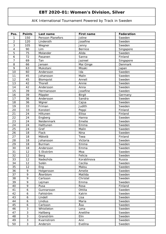#### **EBT 2020-01: Women's Division, Silver**

#### AIK International Tournament Powered by Track in Sweden

| Pos.                     | <b>Points</b>  | Last name                | First name    | Federation |
|--------------------------|----------------|--------------------------|---------------|------------|
| 1                        | 150            | <b>Persson Planefors</b> | Joline        | Sweden     |
| $\overline{2}$           | 120            | Linderoth                | Josefine      | Sweden     |
| $\overline{3}$           | 105            | Wegner                   | Jenny         | Sweden     |
| $\overline{\mathcal{A}}$ | 90             | Lim                      | Bernice       | Singapore  |
| 5                        | 75             | Molander                 | Alida         | Sweden     |
| 6                        | 72             | Pasanen                  | Sanna         | Finland    |
| $\overline{7}$           | 69             | Tan                      | Jazreel       | Singapore  |
| 8                        | 66             | Jensen                   | Mai Ginge     | Denmark    |
| 9                        | 63             | Mukotani                 | Misaki        | Japan      |
| 10                       | 60             | Andersson                | Ida           | Sweden     |
| 11                       | 45             | Johansson                | Malin         | Sweden     |
| 12                       | 45             | Blomqvist                | Anneli        | Sweden     |
| 13                       | 42             | Thorell                  | Annie         | Sweden     |
| 14                       | 42             | Andersson                | Anna          | Sweden     |
| 15                       | 39             | Hermansson               | Josefine      | Sweden     |
| 16                       | 39             | Pöppler                  | <b>Birgit</b> | Germany    |
| 17                       | 36             | Andersson                | Sandra        | Sweden     |
| 18                       | 36             | Wgner                    | Cajsa         | Sweden     |
| 19                       | 33             | Friman                   | Judith        | Sweden     |
| 20                       | 33             | Konsteri                 | Peppi         | Finland    |
| 21                       | 24             | Hiltunen                 | Eliisa        | Finland    |
| 22                       | 24             | Engberg                  | Hanna         | Sweden     |
| 23                       | 24             | Neidenmark               | Emelie        | Sweden     |
| 24                       | 24             | Halttunen                | Emma          | Sweden     |
| 25                       | 24             | Gref                     | Malin         | Sweden     |
| 26                       | 18             | Flack                    | Nina          | Sweden     |
| 27                       | 18             | Mäkelä                   | Teea          | Finland    |
| 28                       | 18             | Johansson                | Victoria      | Sweden     |
| 29                       | 18             | Burman                   | Emma          | Sweden     |
| 30                       | 18             | Andersson                | Emma          | Sweden     |
| 31                       | 12             | S Ekström                | Moa           | Sweden     |
| 32                       | 12             | Berg                     | Felicia       | Sweden     |
| 33                       | 12             | Nadezhda                 | Korablinova   | Russia     |
| 34                       | 12             | Solén                    | Cecilia       | Sweden     |
| 35                       | 12             | Eng                      | Malou         | Sweden     |
| 36                       | 9              | Holgersson               | Amelie        | Sweden     |
| 37                       | 9              | Åkerblom                 | Matilda       | Sweden     |
| 38                       | 9              | Carlsson                 | Christel      | Sweden     |
| 39                       | 9              | Lejman                   | Emma          | Sweden     |
| 40                       | 9              | Pusa                     | Rosa          | Finland    |
| 41                       | 6              | Gunnarsson               | Ottilia       | Sweden     |
| 42                       | 6              | Fahlström                | Katrin        | Sweden     |
| 43                       | 6              | Lindell                  | Lisa          | Sweden     |
| 44                       | 6              | Lindius                  | Maria         | Sweden     |
| 45                       | 6              | Carlsson                 | Åsa           | Sweden     |
| 46                       | 3              | Whistleton               | Lena          | Sweden     |
| 47                       | $\overline{3}$ | Hallberg                 | Anetthe       | Sweden     |
| 48                       | $\overline{3}$ | Granström                | Elin          | Sweden     |
| 49                       | $\mathfrak{S}$ | Kvarnstrom               | Ann           | Sweden     |
| 50                       | $\overline{3}$ | Andersin                 | Evelina       | Sweden     |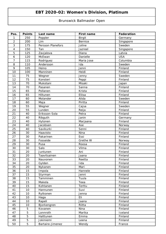## **EBT 2020-02: Women's Division, Platinum**

#### Brunswick Ballmaster Open

| Pos.           | <b>Points</b> | Last name                | First name    | Federation         |
|----------------|---------------|--------------------------|---------------|--------------------|
| 1              | 250           | Poppler                  | <b>Birgit</b> | Germany            |
| $\overline{2}$ | 200           | Lim                      | Bernice       | Singapore          |
| $\overline{3}$ | 175           | <b>Persson Planefors</b> | Joline        | Sweden             |
| 4              | 150           | Tan                      | Jazreel       | Singapore          |
| 5              | 125           | Zavjalova                | Diana         | Latvia             |
| 6              | 120           | McEwan                   | Danielle      | <b>USA</b>         |
| $\overline{7}$ | 115           | Rodriguez                | Maria Jose    | Columbia           |
| 8              | 110           | Andersson                | Ida           | Sweden             |
| 9              | 105           | Heino                    | Jenni         | Finland            |
| 10             | 100           | Manninen                 | Heidi         | Finland            |
| 11             | 75            | Wegner                   | Jenny         | Sweden             |
| 12             | 75            | Konsteri                 | Peppi         | Finland            |
| 13             | 70            | Mukotani                 | Misaki        | Japan              |
| 14             | 70            | Pasanen                  | Sanna         | Finland            |
| 15             | 65            | Pollanen                 | Krista        | Finland            |
| 16             | 65            | Hiltunen                 | Eliisa        | Finland            |
| 17             | 60            | Molander                 | Alida         | Sweden             |
| 18             | 60            | Maja                     | Piritta       | Finland            |
| 19             | 55            | Wegner                   | Cajsa         | Sweden             |
| 20             | 55            | Lunden                   | Reija         | Finland            |
| 21             | 40            | Eriksson-Sola            | Petra         | Finland            |
| 22             | 40            | Ribguth                  | Janin         | Germany            |
| 23             | 40            | Hytonen                  | Marjaana      | Finland            |
| 24             | 40            | Jacobsen                 | Ase           | Norway             |
| 25             | 40            | Savikurki                | Senni         | Finland            |
| 26             | 30            | Haavisto                 | Nina          | Finland            |
| 27             | 30            |                          | Essi          | Finland            |
| 28             | 30            | Pakarinen<br>Fosseide    | Grethe W      |                    |
| 29             | 30            |                          |               | Norway<br>Finland  |
| 30             | 30            | Pusa<br>Salo             | Roosa         | Finland            |
|                |               |                          | Vilma         | Finland            |
| 31<br>32       | 20<br>20      | Juntunen                 | Ani           |                    |
|                |               | Taavitsainen             | Jaana         | Finland            |
| 33             | 20            | Nauvonen                 | Reetta        | Finland            |
| 34<br>35       | 20<br>20      | Gylden                   | lida<br>Mari  | Finland            |
|                |               | Nykanen                  |               | Finland            |
| 36<br>37       | 15<br>15      | Impola                   | Hannele       | Finland<br>Finland |
|                |               | Styrman                  | Jenni         |                    |
| 38             | 15            | Tamminen                 | Tuula         | Finland            |
| 39             | 15            | Makela                   | Teea          | Finland            |
| 40             | 15            | Kohtanen                 | Terttu        | Finland            |
| 41             | 10            | Hannunen                 | Suvi          | Finland            |
| 42             | 10            | Rytkonen                 | Jenna         | Finland            |
| 43             | 10            | Haga                     | Eli           | Finland            |
| 44             | 10            | Rapeli                   | Jaana         | Finland            |
| 45             | 10            | Bjorkengren              | Riitta        | Finland            |
| 46             | 5             | Kovanen                  | Nina          | Finland            |
| 47             | 5             | Lonnroth                 | Marika        | Iceland            |
| 48             | 5             | Halttunen                | Emma          | Finland            |
| 49             | 5             | Jokiniemi                | Leena         | Finland            |
| 50             | 5             | Bartaire-Jimenez         | Wendy         | France             |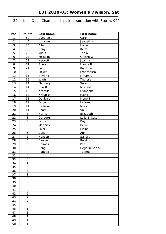## **EBT 2020-03: Women's Division, Sat**

32nd Irish Open Championships in association with Storm, 900

| Pos.                     | <b>Points</b>            | Last name | First name      |
|--------------------------|--------------------------|-----------|-----------------|
| 1                        | 50                       | Catchpole | Carol           |
| $\overline{2}$           | 40                       | Johansen  | Jeanett H.      |
| 3                        | 35                       | Allen     | Isabel          |
| $\overline{\mathcal{A}}$ | 30                       | Reay      | Keira           |
| $\overline{5}$           | 25                       | Yusuf     | Tania           |
| 6                        | 24                       | Fosseide  | Grethe W        |
| $\overline{7}$           | 23                       | Hackett   | Joanna          |
| 8                        | 22                       | Spets     | Hanne B.        |
| 9                        | 21                       | Pohl      | Kanittha        |
| 10                       | 20                       | Plewis    | Franchesca      |
| 11                       | 15                       | Stivang   | Miriam L        |
| 12                       | 15                       | Watts     | Theresa         |
| 13                       | 14                       | Flannery  | Sarah           |
| 14                       | 14                       | Shortt    | Martina         |
| 15                       | 13                       | Kestelle  | Dymphna         |
| 16                       | 13                       | Krajacic  | Ivana           |
| 17                       | 12                       | Danielsen | Irene T:        |
| 18                       | 12                       | Dugan     | Lauren          |
| 19                       | 11                       | Heffernan | Mary            |
| 20                       | 11                       | Sham      | Val             |
| 21                       | 8                        | Harris    | Elizabeth       |
| 22                       | 8                        | Garborg   | Lalla Erikssen  |
| 23                       | 8                        | Lyons     | Kay             |
| 24                       | 8                        | Moriarty  | Berni           |
| 25                       | 8                        | Lalor     | Elaine          |
| 26                       | 6                        | Cullen    | Ann             |
| 27                       | 6                        | Hansen    | Sandra          |
| 28                       | 6                        | Cloake    | Roisin          |
| 29                       | 6                        | Holmes    | Pat             |
| 30                       | 6                        | Bang      | Hege Kristin S. |
| 31                       | $\overline{\mathcal{A}}$ | Rangell   | Yvonne          |
| $\overline{3}2$          | $\overline{\mathcal{L}}$ |           |                 |
| 33                       | 4                        |           |                 |
| 34                       | 4                        |           |                 |
| 35                       | 4                        |           |                 |
| 36                       | 3                        |           |                 |
| 37                       | 3                        |           |                 |
| 38                       | 3                        |           |                 |
| 39                       | 3                        |           |                 |
| 40                       | 3                        |           |                 |
| 41                       | $\overline{2}$           |           |                 |
| 42                       | $\overline{2}$           |           |                 |
| 43                       | $\overline{2}$           |           |                 |
| 44                       | $\overline{2}$           |           |                 |
| 45                       | $\overline{c}$           |           |                 |
| 46                       | 1                        |           |                 |
| 47                       | 1                        |           |                 |
| 48                       | 1                        |           |                 |
| 49                       | 1                        |           |                 |
| 50                       | 1                        |           |                 |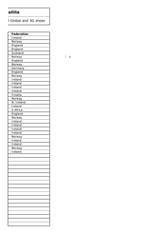#### **tellite**

0 Global and 3G shoes

| Federation |
|------------|
| Ireland    |
| Norway     |
| England    |
| England    |
| Scotland   |
| Norway     |
| England    |
| Norway     |
| Germany    |
| England    |
| Norway     |
| Ireland    |
| Ireland    |
| Ireland    |
| Ireland    |
| Croatia    |
| Norway     |
| N. Ireland |
| Ireland    |
| S Africa   |
| England    |
| Norway     |
| Ireland    |
| Ireland    |
| Ireland    |
| Ireland    |
| Norway     |
| Ireland    |
| Ireland    |
| Norway     |
| Ireland    |
|            |
|            |
|            |
|            |
|            |
|            |
|            |
|            |
|            |
|            |
|            |
|            |
|            |
|            |
|            |
|            |
|            |
|            |
|            |

 $\vert x \vert$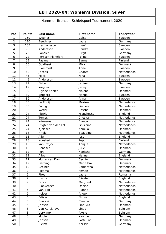## **EBT 2020-04: Women's Division, Silver**

Hammer Bronzen Schietspoel Tournament 2020

| Pos.           | <b>Points</b>  | Last name           | <b>First name</b> | <b>Federation</b> |
|----------------|----------------|---------------------|-------------------|-------------------|
| 1              | 150            | Wegner              | Cajsa             | Sweden            |
| $\overline{2}$ | 120            | Beuthner            | Laura             | Germany           |
| 3              | 105            | Hermansson          | Josefin           | Sweden            |
| $\overline{4}$ | 90             | Andersson           | Sandra            | Sweden            |
| 5              | 75             | Pöppler             | <b>Birgit</b>     | Germany           |
| 6              | 72             | Persson Planefors   | Joline            | Sweden            |
| $\overline{7}$ | 69             | Pasanen             | Sanna             | Finland           |
| 8              | 66             | Guldbaek            | Mika              | Denmark           |
| 9              | 63             | Blomqvist           | Anneli            | Sweden            |
| 10             | 60             | Jacobs              | Chantal           | Netherlands       |
| 11             | 45             | Flack               | Nina              | Sweden            |
| 12             | 45             | Andersson           | Ida               | Sweden            |
| 13             | 42             | Gabel               | Janine            | Germany           |
| 14             | 42             | Wegner              | Jenny             | Sweden            |
| 15             | 39             | Uglsöe Köhler       | Malene            | Denmark           |
| 16             | 39             | Engberg             | Hanna             | Sweden            |
| 17             | 36             | Andersson           | Anna              | Sweden            |
| 18             | 36             | de Rooij            | Maxime            | Netherlands       |
| 19             | 33             | Paling              | Lindsey           | Netherlands       |
| 20             | 33             | Wedel               | Sascha            | Denmark           |
| 21             | 24             | Plewis              | Franchesca        | England           |
| 22             | 24             | Tomas               | Cheska            | Netherlands       |
| 23             | 24             | Wiekeraad           | <b>Bianca</b>     | Netherlands       |
| 24             | 24             | Stigter-van der Tol | Ghislaine         | Netherlands       |
| 25             | 24             | Kjeldsen            | Kamilla           | Denmark           |
| 26             | 18             | Kriele              | Beaudine          | Netherlands       |
| 27             | 18             | Allen               | Issy              | England           |
| 28             | 18             | Konsteri            | Peppi             | Finland           |
| 29             | 18             | van Ewijck          | Anique            | Netherlands       |
| 30             | 18             | Bendsen             | Julie             | Denmark           |
| 31             | 12             | Pohl                | Kanittha          | Germany           |
| 32             | 12             | Ailes               | Hannah            | England           |
| 33             | 12             | Mortensen Dam       | Cecilie           | Denmark           |
| 34             | 12             | Gerding             | Maria Bak         | Denmark           |
| 35             | 12             | Greiner             | Samantha          | Netherlands       |
| 36             | 9              | Postma              | Femke             | Netherlands       |
| 37             | 9              | Piros               | Laura             | Romania           |
| 38             | 9              | Harris              | Elizabeth         | England           |
| 39             | 9              | <b>Dirks</b>        | Margreet          | Netherlands       |
| 40             | 9              | Blankenzee          | Denise            | Netherlands       |
| 41             | 6              | van Zijp            | Rianne            | Netherlands       |
| 42             | 6              | Keizer              | Anouk             | Netherlands       |
| 43             | 6              | Ediker              | Nicole            | England           |
| 44             | 6              | Sawicki             | Claudia           | Germany           |
| 45             | 6              | Jensen              | Line Mia          | Denmark           |
| 46             | 3              | Van Kerckhove       | Linda             | Belgium           |
| 47             | 3              | Verwimp             | Axelle            | Belgium           |
| 48             | 3              | Modler              | Yvonne            | Germany           |
| 49             | 3              | Jensen              | Lotte Liv         | Denmark           |
| 50             | $\overline{3}$ | Sielaff             | Kerstin           | Germany           |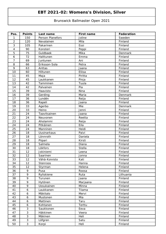#### **EBT 2021-02: Womens's Division, Silver**

Brunswick Ballmaster Open 2021

| Pos.             | <b>Points</b> | Last name               | <b>First name</b> | Federation     |
|------------------|---------------|-------------------------|-------------------|----------------|
| 1                | 150           | <b>Person Planefors</b> | Joline            | Sweden         |
| $\overline{2}$   | 120           | Nevalainen              | Mila              | Finland        |
| 3                | 105           | Pakarinen               | Essi              | Finland        |
| $\overline{4}$   | 90            | Konsteri                | Peppi             | Finland        |
| 5                | 75            | Guldbaek                | Mika              | Denmark        |
| $\boldsymbol{6}$ | 72            | Halttunen               | Emma              | Finland        |
| $\overline{7}$   | 69            | Juntunen                | Ani               | Finland        |
| 8                | 66            | Eriksson-Sola           | Petra             | Finland        |
| 9                | 63            | Anttas                  | Jaana             | Finland        |
| 10               | 60            | Hiltunen                | Eliisa            | Finland        |
| 11               | 45            | Maja                    | Piritta           | Finland        |
| 12               | 45            | Laukkanen               | Pinja             | Finland        |
| 13               | 42            | Tamminen                | Tuula             | Finland        |
| 14               | 42            | Palvainen               | Pia               | Finland        |
| 15               | 39            | Haavisto                | Nina              | Finland        |
| 16               | 39            | Gerding                 | Maria             | Denmark        |
| 17               | 36            | Lundén                  | Reija             | Finland        |
| 18               | 36            | Rapeli                  | Jaana             | Finland        |
| 19               | 33            | Agerbo                  | Mie               | <b>Denmark</b> |
| 20               | 33            | Heino                   | Jenni             | Finland        |
| 21               | 24            | Taavitsainen            | Jaana             | Finland        |
| 22               | 24            | Neuvonen                | Reetta            | Finland        |
| 23               | 24            | Aholammi                | Reija             | Finland        |
| 24               | 24            | Pitkäinen               | Eila              | Finland        |
| 25               | 24            | Manninen                | Heidi             | Finland        |
| 26               | 18            | Uusinarkaus             | Paivi             | Finland        |
| 27               | 18            | Lönnroth                | Daniela           | Finland        |
| 28               | 18            | Piipari                 | Kirsti            | Finland        |
| 29               | 18            | Salmela                 | Diana             | Finland        |
| 30               | 18            | Lökfors                 | Stella            | Finland        |
| 31               | 12            | Jokiniemi               | Leena             | Finland        |
| 32               | 12            | Saarinen                | Jonna             | Finland        |
| 33               | 12            | Vähä-Koivisto           | Kati              | Finland        |
| 34               | 12            | Stenroos                | Hanna             | Finland        |
| 35               | 12            | Styrman                 | Helena            | Finland        |
| 36               | 9             | Pusa                    | Roosa             | Finland        |
| 37               | 9             | Ryliskiene              | Ruta              | Lithuania      |
| 38               | 9             | Turunen                 | Jaana             | Finland        |
| 39               | 9             | Hytönen                 | Marjaana          | Finland        |
| 40               | 9             | Uosukainen              | Minna             | Finland        |
| 41               | 6             | Laukkanen               | Tiiama            | Finland        |
| 42               | 6             | Mäkitalo                | Mervi             | Finland        |
| 43               | 6             | Mustonen                | Mia               | Finland        |
| 44               | 6             | Mattinen                | Taru              | Finland        |
| 45               | 6             | Kohtanen                | Terttu            | Finland        |
| 46               | 3             | Saukkonen               | Eeva              | Finland        |
| 47               | 3             | Häkkinen                | Veera             | Finland        |
| 48               | 3             | Mäkinen                 | Heli              | Finland        |
| 49               | 3             | Löfgren                 | Satu              | Finland        |
| 50               | $\mathbf{3}$  | Korpi                   | Heli              | Finland        |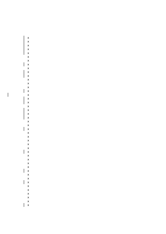$\overline{\phantom{a}}$ 

 $\begin{array}{c} \hline \end{array}$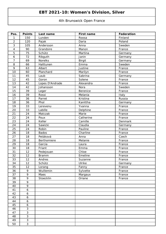#### **EBT 2021-10: Women's Division, Silver**

4th Brunswick Open France

| Pos.             | <b>Points</b>  | Last name       | First name    | Federation |
|------------------|----------------|-----------------|---------------|------------|
| 1                | 150            | Lunden          | Roosa         | Finland    |
| $\overline{2}$   | 120            | Pajak           | Daria         | Poland     |
| 3                | 105            | Andersson       | Anna          | Sweden     |
| $\sqrt{4}$       | 90             | Grandsire       | Manon         | France     |
| $\overline{5}$   | 75             | Schütz          | Martina       | Germany    |
| $\boldsymbol{6}$ | 72             | Ribguth         | Janin         | Germany    |
| $\overline{7}$   | 69             | Norelks         | <b>Birgit</b> | Germany    |
| 8                | 66             | Halttunen       | Emma          | Sweden     |
| $\overline{9}$   | 63             | Albert          | Justine       | France     |
| 10               | 60             | Planchard       | Marilyn       | France     |
| 11               | 45             | Laub            | Sabrina       | Germany    |
| 12               | 45             | Goron           | Solene        | France     |
| 13               | 42             | Lopes D'Andrade | Alexandra     | France     |
| 14               | 42             | Johansson       | Nora          | Sweden     |
| 15               | 39             | Leger           | Berenice      | France     |
| 16               | 39             | Rossi           | Melania       | Italy      |
| 17               | 36             | Parret          | Kristina      | Russia     |
| 18               | 36             | Phol            | Kanittha      | Germany    |
| 19               | 33             | Lerevenu        | Yvanna        | France     |
| 20               | 33             | Labille         | Delphine      | France     |
| 21               | 24             | Matczak         | Marie         | France     |
| 22               | 24             | Poux            | Catherine     | France     |
| 23               | 24             | Keller          | Camille       | Denmark    |
| 24               | 24             | Sawicki         | Claudia       | Germany    |
| 25               | 24             | Robin           | Pauline       | France     |
| 26               | 18             | <b>Bados</b>    | Charline      | France     |
| 27               | 18             | Petáková        | Anna          | Czech      |
| 28               | 18             | Berthomiere     | Melanie       | France     |
| 29               | 18             | Garcia          | Laura         | France     |
| 30               | 18             | Friant          | Emma          | France     |
| 31               | 12             | Pedejouan       | Chloe         | France     |
| 32               | 12             | Bramm           | Emeline       | France     |
| 33               | 12             | Andres          | Suzanne       | France     |
| 34               | 12             | Schütz          | Ulrike        | Germany    |
| 35               | 12             | Lorang          | Fanny         | France     |
| 36               | 9              | Wuillemin       | Sylvette      | France     |
| 37               | 9              | Maes            | Margaux       | France     |
| 38               | 9              | Stoecklin       | Oriane        | France     |
| 39               | 9              |                 |               |            |
| 40               | 9              |                 |               |            |
| 41               | 6              |                 |               |            |
| 42               | 6              |                 |               |            |
| 43               | 6              |                 |               |            |
| 44               | 6              |                 |               |            |
| 45               | 6              |                 |               |            |
| 46               | 3              |                 |               |            |
| 47               | 3              |                 |               |            |
| 48               | 3              |                 |               |            |
| 49               | 3              |                 |               |            |
| 50               | $\overline{3}$ |                 |               |            |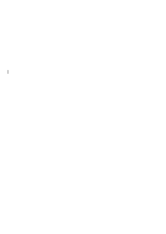$\overline{\mathbf{I}}$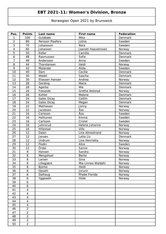## **EBT 2021-11: Women's Division, Bronze**

Norwegian Open 2021 by Brunswick

| Pos.             | <b>Points</b>  | Last name        | First name                   | Federation       |
|------------------|----------------|------------------|------------------------------|------------------|
| 1                | 100            | Guldbæk          | Mika                         | Denmark          |
| $\overline{2}$   | 80             | Persson Plaefors | Joline                       | Sweden           |
| 3                | 70             | Johansson        | Nora                         | Sweden           |
| $\overline{4}$   | 60             | Johansen         | Jeanett Haavelmoen           | Norway           |
| $\overline{5}$   | 50             | Keller           | Camilla                      | Denmark          |
| $\boldsymbol{6}$ | 48             | Rasmussen        | Sofie                        | Denmark          |
| $\overline{7}$   | 46             | Andersson        | Anna                         | Sweden           |
| 8                | 44             | Thorstensen      | Heidi                        | Norway           |
| 9                | 42             | Molander         | Alida                        | Sweden           |
| 10               | 40             | Dam              | Cecilie                      | Denmark          |
| 11               | 30             | Wedel            | Sascha                       | Denmark          |
| 12               | 30             | Eliassen Hansen  | Andrea                       | Norway           |
| 13               | 28             | Gerding          | Maria                        | Denmark          |
| 14               | 28             | Agerbo           | Mie                          | Denmark          |
| 15               | 26             | Fosseide         | Grethe Walstad               | Norway           |
| 16               | 26             | Kohler           | Malene                       | Denmark          |
| 17               | 24             | Gales Dicay      | Caitlin                      | Denmark          |
| 18               | 24             | Gales Dicay      | Megan                        | Denmark          |
| 19               | 22             | Mathiesen        | Jenny                        | Norway           |
| 20               | 22             | Jacobsen         | Åse                          | Norway           |
| 21               | 16             | Carlsson         | Åsa                          | Sweden           |
| 22               | 16             | Halttunen        | Emma                         | Sweden           |
| 23               | 16             | Carlsson         | Cristel                      | Sweden           |
| 24               | 16             | Johnsrud         | Helene Johanne               | Norway           |
| 25               | 16             | Hillestad        | Ville                        |                  |
| 26               | 12             |                  |                              | Norway           |
| 27               | 12             | Dalen            | Line Almestrand<br>Lotte Liv | Norway           |
| 28               | 12             | Jensen<br>Undrum | Line Henrietta               | Denmark          |
|                  |                |                  |                              | Norway<br>Sweden |
| 29<br>30         | 12<br>12       | Flodin<br>Ördal  | Alice                        |                  |
|                  |                |                  | Sanne                        | Norway           |
| 31               | 8<br>8         | Hansen           | Sandra                       | Norway           |
| 32               |                | Mengshoel        | Bente                        | Norway           |
| 33               | 8<br>8         | Larsen           | Gina                         | Norway           |
| 34               |                | Lillegjære       | Mia Linnea Waldahl           | Norway           |
| 35               | 8              | <b>Bjerke</b>    | Heidi                        | Norway           |
| 36<br>37         | 6<br>6         | Opsahl           | Jorunn                       | Norway           |
|                  |                | Dalhaug          | Phebe Florida                | Norway           |
| 38               | 6              | Yggeseth         | Hilde                        | Norway           |
| 39               | 6              |                  |                              |                  |
| 40               | 6              |                  |                              |                  |
| 41               | $\overline{4}$ |                  |                              |                  |
| 42               | $\overline{4}$ |                  |                              |                  |
| 43               | $\overline{4}$ |                  |                              |                  |
| 44               | $\overline{4}$ |                  |                              |                  |
| 45               | $\overline{4}$ |                  |                              |                  |
| 46               | $\overline{2}$ |                  |                              |                  |
| 47               | $\overline{2}$ |                  |                              |                  |
| 48               | $\overline{2}$ |                  |                              |                  |
| 49               | $\overline{a}$ |                  |                              |                  |
| 50               | $\overline{2}$ |                  |                              |                  |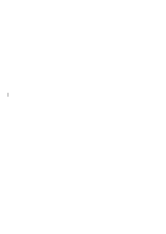$\overline{\phantom{a}}$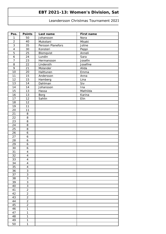## **EBT 2021-13: Women's Division, Sat**

Leandersson Christmas Tournament 2021

| Pos.                    | <b>Points</b>            | Last name         | <b>First name</b> |
|-------------------------|--------------------------|-------------------|-------------------|
| 1                       | 50                       | Johansson         | Nora              |
| $\overline{c}$          | 40                       | Mukotani          | Misaki            |
| 3                       | 35                       | Persson Planefors | Joline            |
| $\overline{\mathbf{4}}$ | 30                       | Konsteri          | Peppi             |
| $\overline{5}$          | 25                       | Blomqvist         | Anneli            |
| 6                       | 24                       | Lundin            | Sara              |
| $\overline{7}$          | 23                       | Hermansson        | Josefin           |
| 8                       | 22                       | Linderoth         | Josefine          |
| 9                       | 21                       | Molander          | Alida             |
| 10                      | 20                       | Halttunen         | Emma              |
| 11                      | 15                       | Andersson         | Anna              |
| 12                      | 15                       | Hamberg           | Lina              |
| 13                      | 14                       | Dahlman           | Siv               |
| 14                      | 14                       | Johansson         | Ina               |
| 15                      | 13                       | Hassa             | Mathilda          |
| 16                      | 13                       | <b>Borg</b>       | Karina            |
| 17                      | 12                       | Sahlin            | Elin              |
| 18                      | 12                       |                   |                   |
| 19                      | 11                       |                   |                   |
| 20                      | 11                       |                   |                   |
| 21                      | 8                        |                   |                   |
| 22                      | 8                        |                   |                   |
| 23                      | 8                        |                   |                   |
| 24                      | 8                        |                   |                   |
| 25                      | 8                        |                   |                   |
| 26                      | 6                        |                   |                   |
| 27                      | 6                        |                   |                   |
| 28                      | 6                        |                   |                   |
| 29                      | 6                        |                   |                   |
| 30                      | 6                        |                   |                   |
| 31                      | 4                        |                   |                   |
| 32                      | 4                        |                   |                   |
| 33                      | 4                        |                   |                   |
| 34                      | $\overline{\mathcal{A}}$ |                   |                   |
| 35                      | 4                        |                   |                   |
| 36                      | 3                        |                   |                   |
| 37                      | 3                        |                   |                   |
| 38                      | $\overline{3}$           |                   |                   |
| 39                      | 3                        |                   |                   |
| 40                      | 3                        |                   |                   |
| 41                      | $\overline{2}$           |                   |                   |
| 42                      | $\overline{2}$           |                   |                   |
| 43                      | $\overline{2}$           |                   |                   |
| 44                      | $\overline{c}$           |                   |                   |
| 45                      | $\overline{c}$           |                   |                   |
| 46                      | $\mathbf{1}$             |                   |                   |
| 47                      | 1                        |                   |                   |
| 48                      | 1                        |                   |                   |
| 49                      | 1                        |                   |                   |
| 50                      | 1                        |                   |                   |